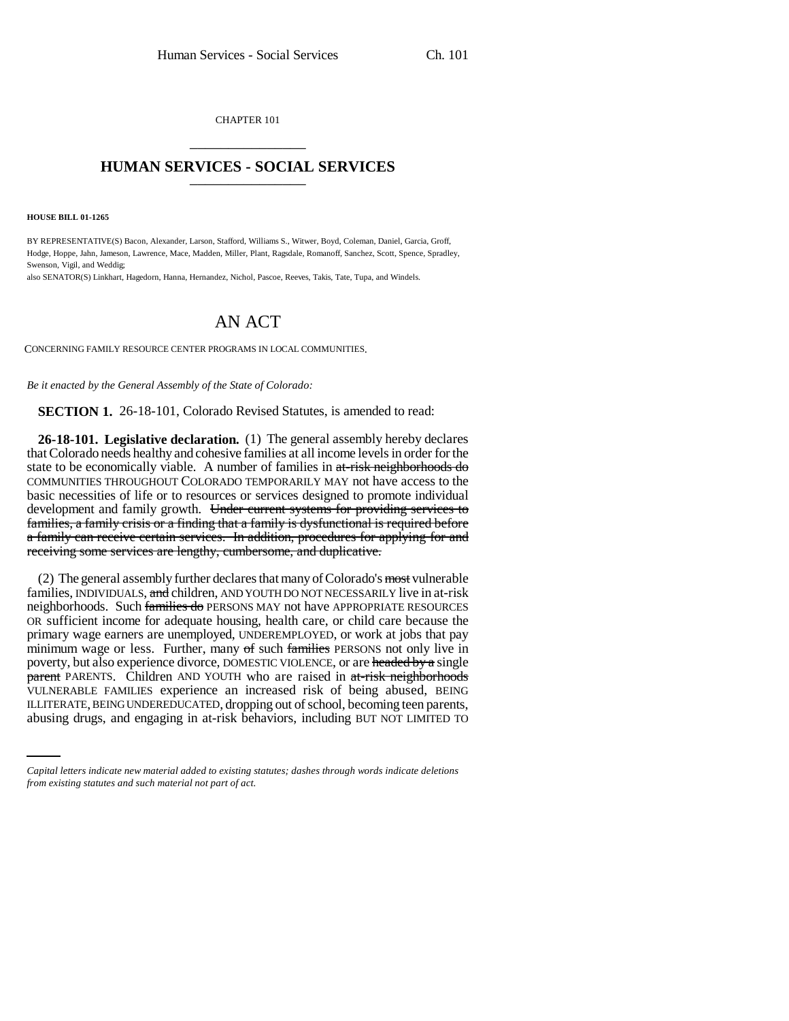CHAPTER 101 \_\_\_\_\_\_\_\_\_\_\_\_\_\_\_

## **HUMAN SERVICES - SOCIAL SERVICES** \_\_\_\_\_\_\_\_\_\_\_\_\_\_\_

**HOUSE BILL 01-1265**

BY REPRESENTATIVE(S) Bacon, Alexander, Larson, Stafford, Williams S., Witwer, Boyd, Coleman, Daniel, Garcia, Groff, Hodge, Hoppe, Jahn, Jameson, Lawrence, Mace, Madden, Miller, Plant, Ragsdale, Romanoff, Sanchez, Scott, Spence, Spradley, Swenson, Vigil, and Weddig;

also SENATOR(S) Linkhart, Hagedorn, Hanna, Hernandez, Nichol, Pascoe, Reeves, Takis, Tate, Tupa, and Windels.

## AN ACT

CONCERNING FAMILY RESOURCE CENTER PROGRAMS IN LOCAL COMMUNITIES.

*Be it enacted by the General Assembly of the State of Colorado:*

**SECTION 1.** 26-18-101, Colorado Revised Statutes, is amended to read:

**26-18-101. Legislative declaration.** (1) The general assembly hereby declares that Colorado needs healthy and cohesive families at all income levels in order for the state to be economically viable. A number of families in at-risk neighborhoods do COMMUNITIES THROUGHOUT COLORADO TEMPORARILY MAY not have access to the basic necessities of life or to resources or services designed to promote individual development and family growth. Under current systems for providing services to families, a family crisis or a finding that a family is dysfunctional is required before a family can receive certain services. In addition, procedures for applying for and receiving some services are lengthy, cumbersome, and duplicative.

VULNERABLE FAMILIES experience an increased risk of being abused, BEING (2) The general assembly further declares that many of Colorado's most vulnerable families, INDIVIDUALS, and children, AND YOUTH DO NOT NECESSARILY live in at-risk neighborhoods. Such families do PERSONS MAY not have APPROPRIATE RESOURCES OR sufficient income for adequate housing, health care, or child care because the primary wage earners are unemployed, UNDEREMPLOYED, or work at jobs that pay minimum wage or less. Further, many of such families PERSONS not only live in poverty, but also experience divorce, DOMESTIC VIOLENCE, or are headed by a single parent PARENTS. Children AND YOUTH who are raised in at-risk neighborhoods ILLITERATE, BEING UNDEREDUCATED, dropping out of school, becoming teen parents, abusing drugs, and engaging in at-risk behaviors, including BUT NOT LIMITED TO

*Capital letters indicate new material added to existing statutes; dashes through words indicate deletions from existing statutes and such material not part of act.*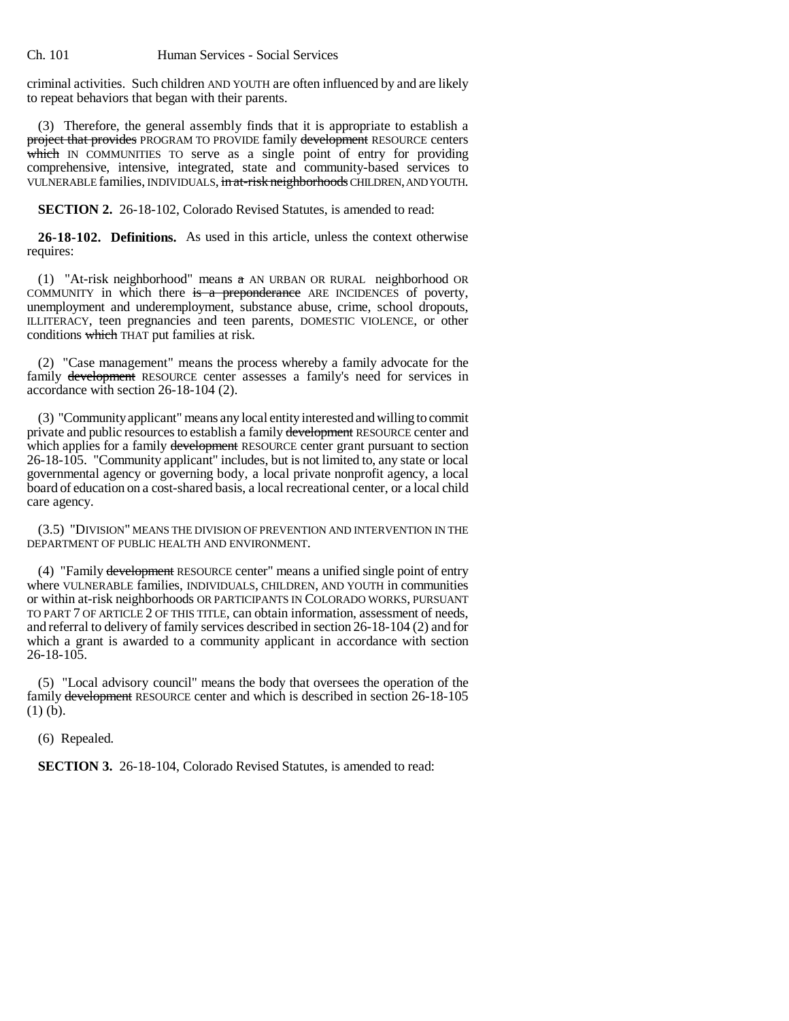criminal activities. Such children AND YOUTH are often influenced by and are likely to repeat behaviors that began with their parents.

(3) Therefore, the general assembly finds that it is appropriate to establish a project that provides PROGRAM TO PROVIDE family development RESOURCE centers which IN COMMUNITIES TO serve as a single point of entry for providing comprehensive, intensive, integrated, state and community-based services to VULNERABLE families, INDIVIDUALS, in at-risk neighborhoods CHILDREN, AND YOUTH.

**SECTION 2.** 26-18-102, Colorado Revised Statutes, is amended to read:

**26-18-102. Definitions.** As used in this article, unless the context otherwise requires:

(1) "At-risk neighborhood" means a AN URBAN OR RURAL neighborhood OR COMMUNITY in which there is a preponderance ARE INCIDENCES of poverty, unemployment and underemployment, substance abuse, crime, school dropouts, ILLITERACY, teen pregnancies and teen parents, DOMESTIC VIOLENCE, or other conditions which THAT put families at risk.

(2) "Case management" means the process whereby a family advocate for the family development RESOURCE center assesses a family's need for services in accordance with section 26-18-104 (2).

(3) "Community applicant" means any local entity interested and willing to commit private and public resources to establish a family development RESOURCE center and which applies for a family development RESOURCE center grant pursuant to section 26-18-105. "Community applicant" includes, but is not limited to, any state or local governmental agency or governing body, a local private nonprofit agency, a local board of education on a cost-shared basis, a local recreational center, or a local child care agency.

(3.5) "DIVISION" MEANS THE DIVISION OF PREVENTION AND INTERVENTION IN THE DEPARTMENT OF PUBLIC HEALTH AND ENVIRONMENT.

(4) "Family development RESOURCE center" means a unified single point of entry where VULNERABLE families, INDIVIDUALS, CHILDREN, AND YOUTH in communities or within at-risk neighborhoods OR PARTICIPANTS IN COLORADO WORKS, PURSUANT TO PART 7 OF ARTICLE 2 OF THIS TITLE, can obtain information, assessment of needs, and referral to delivery of family services described in section 26-18-104 (2) and for which a grant is awarded to a community applicant in accordance with section  $26 - 18 - 105$ .

(5) "Local advisory council" means the body that oversees the operation of the family development RESOURCE center and which is described in section 26-18-105 (1) (b).

(6) Repealed.

**SECTION 3.** 26-18-104, Colorado Revised Statutes, is amended to read: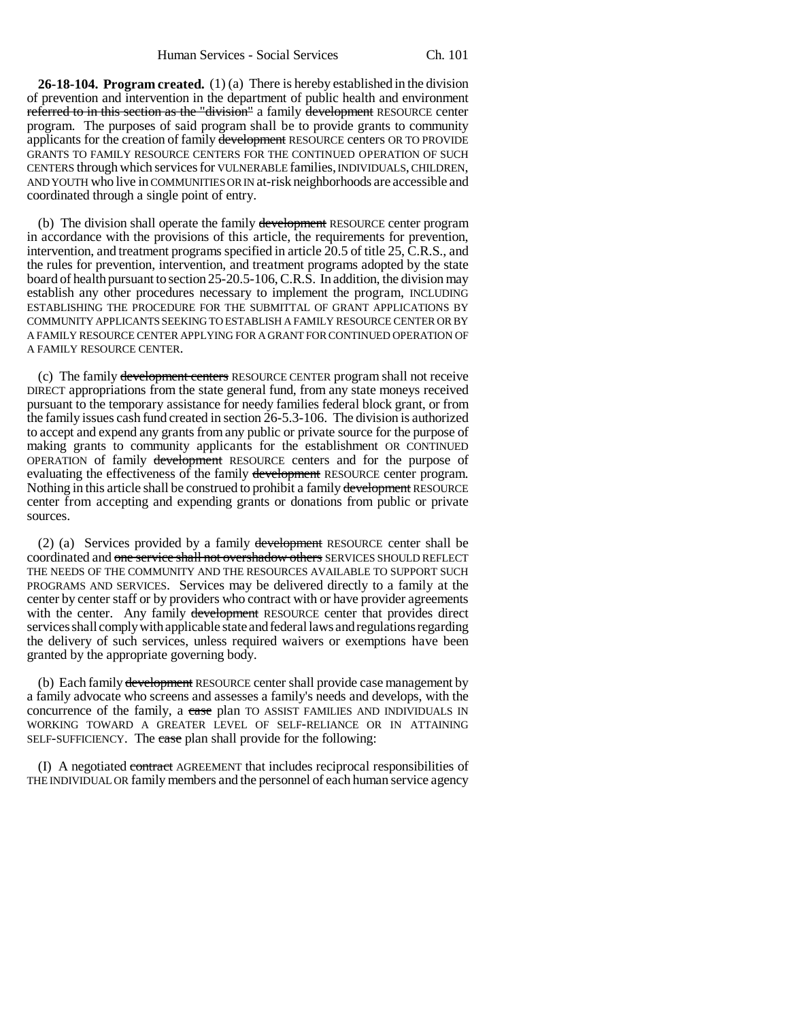**26-18-104. Program created.** (1) (a) There is hereby established in the division of prevention and intervention in the department of public health and environment referred to in this section as the "division" a family development RESOURCE center program. The purposes of said program shall be to provide grants to community applicants for the creation of family development RESOURCE centers OR TO PROVIDE GRANTS TO FAMILY RESOURCE CENTERS FOR THE CONTINUED OPERATION OF SUCH CENTERS through which services for VULNERABLE families, INDIVIDUALS, CHILDREN, AND YOUTH who live in COMMUNITIES OR IN at-risk neighborhoods are accessible and coordinated through a single point of entry.

(b) The division shall operate the family development RESOURCE center program in accordance with the provisions of this article, the requirements for prevention, intervention, and treatment programs specified in article 20.5 of title 25, C.R.S., and the rules for prevention, intervention, and treatment programs adopted by the state board of health pursuant to section 25-20.5-106, C.R.S. In addition, the division may establish any other procedures necessary to implement the program, INCLUDING ESTABLISHING THE PROCEDURE FOR THE SUBMITTAL OF GRANT APPLICATIONS BY COMMUNITY APPLICANTS SEEKING TO ESTABLISH A FAMILY RESOURCE CENTER OR BY A FAMILY RESOURCE CENTER APPLYING FOR A GRANT FOR CONTINUED OPERATION OF A FAMILY RESOURCE CENTER.

(c) The family development centers RESOURCE CENTER program shall not receive DIRECT appropriations from the state general fund, from any state moneys received pursuant to the temporary assistance for needy families federal block grant, or from the family issues cash fund created in section 26-5.3-106. The division is authorized to accept and expend any grants from any public or private source for the purpose of making grants to community applicants for the establishment OR CONTINUED OPERATION of family development RESOURCE centers and for the purpose of evaluating the effectiveness of the family development RESOURCE center program. Nothing in this article shall be construed to prohibit a family development RESOURCE center from accepting and expending grants or donations from public or private sources.

(2) (a) Services provided by a family development RESOURCE center shall be coordinated and one service shall not overshadow others SERVICES SHOULD REFLECT THE NEEDS OF THE COMMUNITY AND THE RESOURCES AVAILABLE TO SUPPORT SUCH PROGRAMS AND SERVICES. Services may be delivered directly to a family at the center by center staff or by providers who contract with or have provider agreements with the center. Any family development RESOURCE center that provides direct services shall comply with applicable state and federal laws and regulations regarding the delivery of such services, unless required waivers or exemptions have been granted by the appropriate governing body.

(b) Each family development RESOURCE center shall provide case management by a family advocate who screens and assesses a family's needs and develops, with the concurrence of the family, a case plan TO ASSIST FAMILIES AND INDIVIDUALS IN WORKING TOWARD A GREATER LEVEL OF SELF-RELIANCE OR IN ATTAINING SELF-SUFFICIENCY. The case plan shall provide for the following:

(I) A negotiated contract AGREEMENT that includes reciprocal responsibilities of THE INDIVIDUAL OR family members and the personnel of each human service agency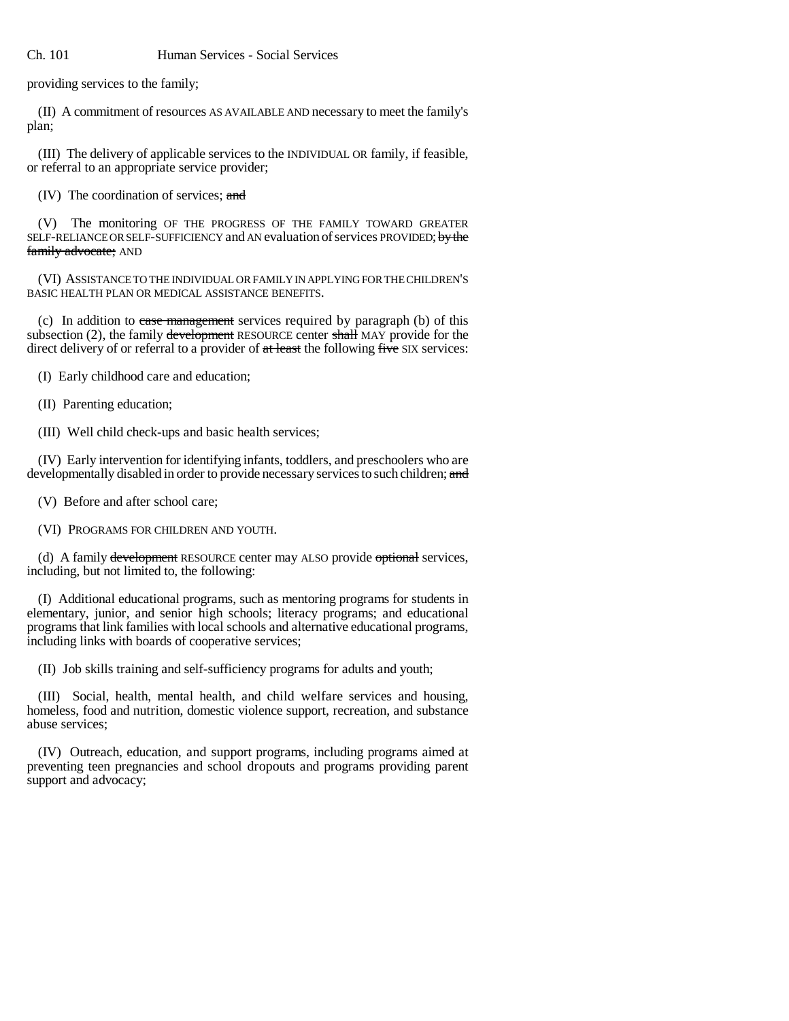providing services to the family;

(II) A commitment of resources AS AVAILABLE AND necessary to meet the family's plan;

(III) The delivery of applicable services to the INDIVIDUAL OR family, if feasible, or referral to an appropriate service provider;

(IV) The coordination of services; and

(V) The monitoring OF THE PROGRESS OF THE FAMILY TOWARD GREATER SELF-RELIANCE OR SELF-SUFFICIENCY and AN evaluation of services PROVIDED; by the family advocate; AND

(VI) ASSISTANCE TO THE INDIVIDUAL OR FAMILY IN APPLYING FOR THE CHILDREN'S BASIC HEALTH PLAN OR MEDICAL ASSISTANCE BENEFITS.

(c) In addition to case management services required by paragraph (b) of this subsection  $(2)$ , the family development RESOURCE center shall MAY provide for the direct delivery of or referral to a provider of at least the following five SIX services:

(I) Early childhood care and education;

(II) Parenting education;

(III) Well child check-ups and basic health services;

(IV) Early intervention for identifying infants, toddlers, and preschoolers who are developmentally disabled in order to provide necessary services to such children; and

(V) Before and after school care;

(VI) PROGRAMS FOR CHILDREN AND YOUTH.

(d) A family development RESOURCE center may ALSO provide optional services, including, but not limited to, the following:

(I) Additional educational programs, such as mentoring programs for students in elementary, junior, and senior high schools; literacy programs; and educational programs that link families with local schools and alternative educational programs, including links with boards of cooperative services;

(II) Job skills training and self-sufficiency programs for adults and youth;

(III) Social, health, mental health, and child welfare services and housing, homeless, food and nutrition, domestic violence support, recreation, and substance abuse services;

(IV) Outreach, education, and support programs, including programs aimed at preventing teen pregnancies and school dropouts and programs providing parent support and advocacy;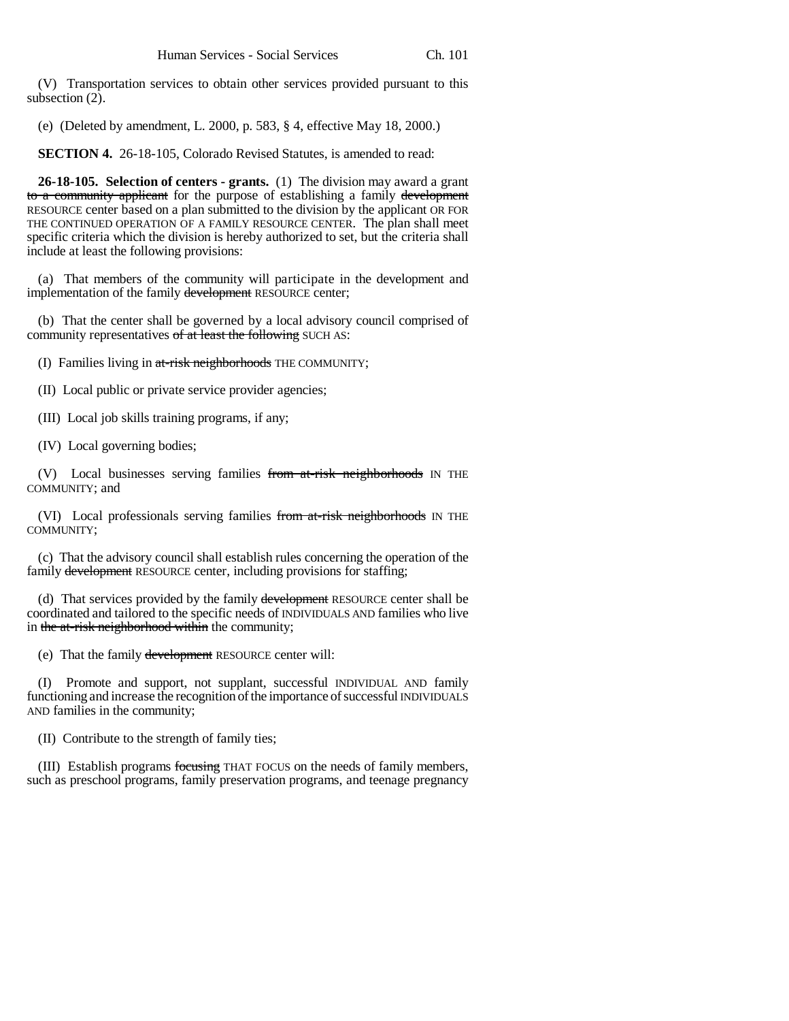(V) Transportation services to obtain other services provided pursuant to this subsection  $(2)$ .

(e) (Deleted by amendment, L. 2000, p. 583, § 4, effective May 18, 2000.)

**SECTION 4.** 26-18-105, Colorado Revised Statutes, is amended to read:

**26-18-105. Selection of centers - grants.** (1) The division may award a grant to a community applicant for the purpose of establishing a family development RESOURCE center based on a plan submitted to the division by the applicant OR FOR THE CONTINUED OPERATION OF A FAMILY RESOURCE CENTER. The plan shall meet specific criteria which the division is hereby authorized to set, but the criteria shall include at least the following provisions:

(a) That members of the community will participate in the development and implementation of the family development RESOURCE center;

(b) That the center shall be governed by a local advisory council comprised of community representatives of at least the following SUCH AS:

- (I) Families living in at-risk neighborhoods THE COMMUNITY;
- (II) Local public or private service provider agencies;
- (III) Local job skills training programs, if any;
- (IV) Local governing bodies;

(V) Local businesses serving families from at-risk neighborhoods IN THE COMMUNITY; and

(VI) Local professionals serving families from at-risk neighborhoods IN THE COMMUNITY;

(c) That the advisory council shall establish rules concerning the operation of the family development RESOURCE center, including provisions for staffing;

(d) That services provided by the family development RESOURCE center shall be coordinated and tailored to the specific needs of INDIVIDUALS AND families who live in the at-risk neighborhood within the community;

(e) That the family development RESOURCE center will:

(I) Promote and support, not supplant, successful INDIVIDUAL AND family functioning and increase the recognition of the importance of successful INDIVIDUALS AND families in the community;

(II) Contribute to the strength of family ties;

(III) Establish programs focusing THAT FOCUS on the needs of family members, such as preschool programs, family preservation programs, and teenage pregnancy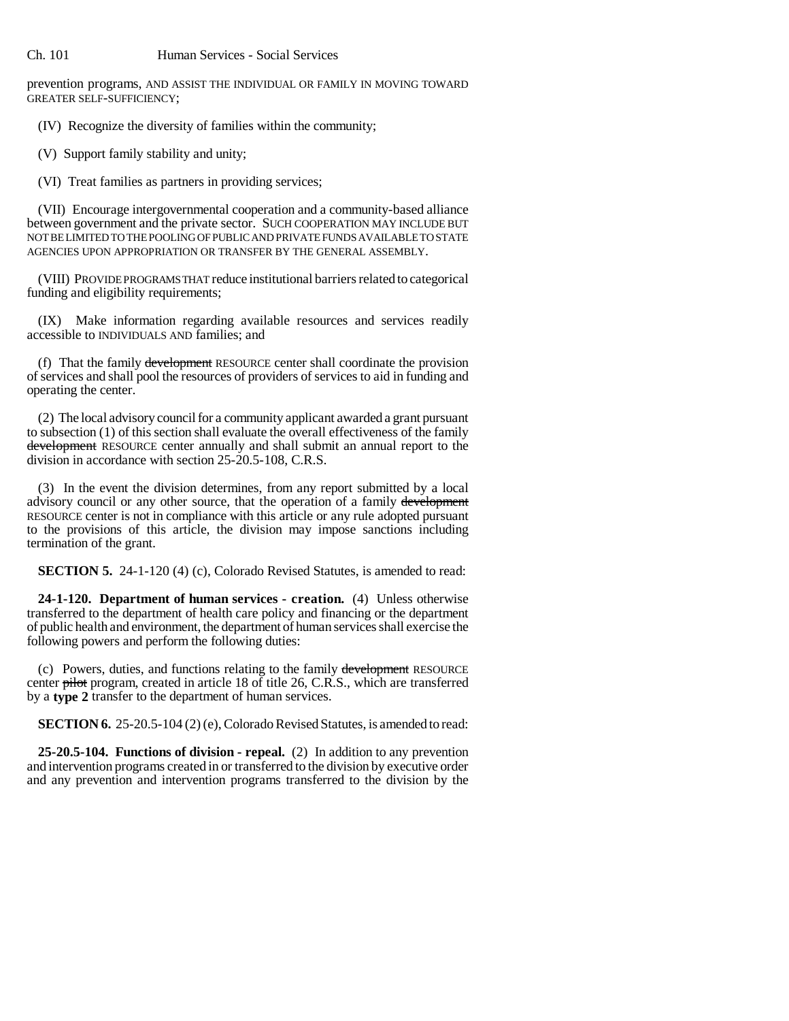prevention programs, AND ASSIST THE INDIVIDUAL OR FAMILY IN MOVING TOWARD GREATER SELF-SUFFICIENCY;

(IV) Recognize the diversity of families within the community;

(V) Support family stability and unity;

(VI) Treat families as partners in providing services;

(VII) Encourage intergovernmental cooperation and a community-based alliance between government and the private sector. SUCH COOPERATION MAY INCLUDE BUT NOT BE LIMITED TO THE POOLING OF PUBLIC AND PRIVATE FUNDS AVAILABLE TO STATE AGENCIES UPON APPROPRIATION OR TRANSFER BY THE GENERAL ASSEMBLY.

(VIII) PROVIDE PROGRAMS THAT reduce institutional barriers related to categorical funding and eligibility requirements;

(IX) Make information regarding available resources and services readily accessible to INDIVIDUALS AND families; and

(f) That the family development RESOURCE center shall coordinate the provision of services and shall pool the resources of providers of services to aid in funding and operating the center.

(2) The local advisory council for a community applicant awarded a grant pursuant to subsection (1) of this section shall evaluate the overall effectiveness of the family development RESOURCE center annually and shall submit an annual report to the division in accordance with section 25-20.5-108, C.R.S.

(3) In the event the division determines, from any report submitted by a local advisory council or any other source, that the operation of a family development RESOURCE center is not in compliance with this article or any rule adopted pursuant to the provisions of this article, the division may impose sanctions including termination of the grant.

**SECTION 5.** 24-1-120 (4) (c), Colorado Revised Statutes, is amended to read:

**24-1-120. Department of human services - creation.** (4) Unless otherwise transferred to the department of health care policy and financing or the department of public health and environment, the department of human services shall exercise the following powers and perform the following duties:

(c) Powers, duties, and functions relating to the family development RESOURCE center pilot program, created in article 18 of title 26, C.R.S., which are transferred by a **type 2** transfer to the department of human services.

**SECTION 6.** 25-20.5-104 (2) (e), Colorado Revised Statutes, is amended to read:

**25-20.5-104. Functions of division - repeal.** (2) In addition to any prevention and intervention programs created in or transferred to the division by executive order and any prevention and intervention programs transferred to the division by the